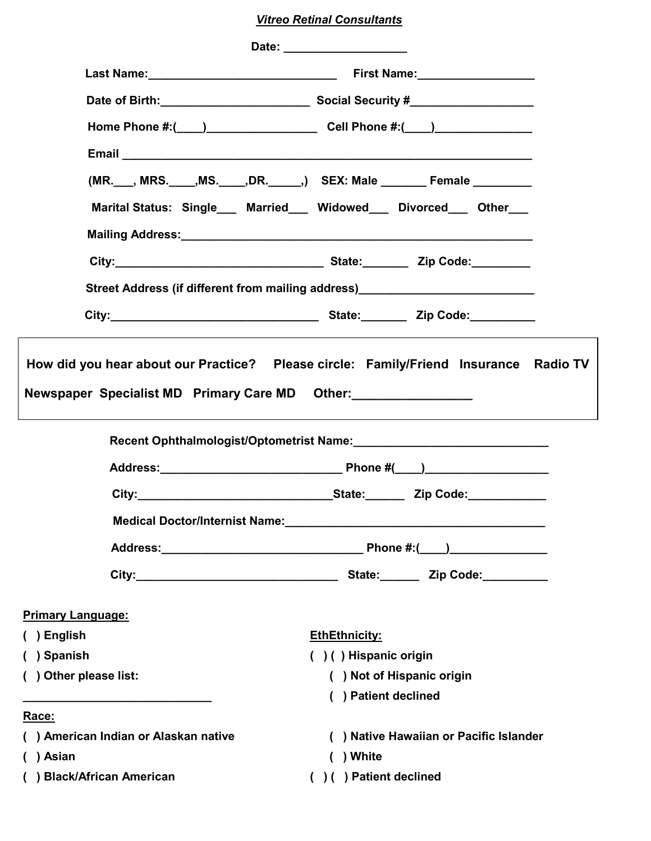# *Vitreo Retinal Consultants*

|                                                | Date: _____________________                                                                                                                      |
|------------------------------------------------|--------------------------------------------------------------------------------------------------------------------------------------------------|
|                                                |                                                                                                                                                  |
|                                                |                                                                                                                                                  |
|                                                |                                                                                                                                                  |
|                                                |                                                                                                                                                  |
|                                                | (MR. ___, MRS. _____,MS. _____,DR. ______,) SEX: Male ________ Female __________                                                                 |
|                                                | Marital Status: Single___ Married___ Widowed___ Divorced___ Other___                                                                             |
|                                                |                                                                                                                                                  |
|                                                |                                                                                                                                                  |
|                                                | Street Address (if different from mailing address)______________________________                                                                 |
|                                                | City: City: 2ip Code: 21 City: 2ip Code:                                                                                                         |
| Newspaper Specialist MD Primary Care MD Other: | How did you hear about our Practice?  Please circle: Family/Friend Insurance Radio TV                                                            |
|                                                |                                                                                                                                                  |
|                                                |                                                                                                                                                  |
|                                                | Medical Doctor/Internist Name:<br>Manuscription Annuscription Annuscription Annuscription Annuscription Annuscription Annuscription Annuscriptio |
|                                                |                                                                                                                                                  |
|                                                |                                                                                                                                                  |
| <b>Primary Language:</b>                       |                                                                                                                                                  |
| ) English                                      | <b>EthEthnicity:</b>                                                                                                                             |
| ) Spanish                                      | ( ) ( ) Hispanic origin                                                                                                                          |
| ) Other please list:                           | () Not of Hispanic origin                                                                                                                        |
|                                                | ( ) Patient declined                                                                                                                             |
| Race:                                          |                                                                                                                                                  |
| ) American Indian or Alaskan native<br>) Asian | () Native Hawaiian or Pacific Islander<br>$( )$ White                                                                                            |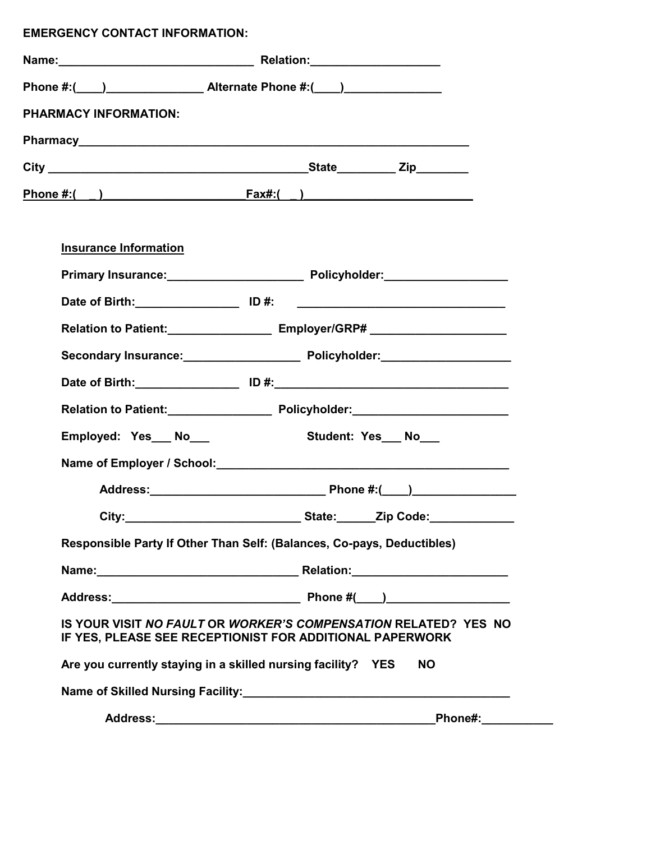| <b>EMERGENCY CONTACT INFORMATION:</b>                                             |                                                                                                                                                                                                   |
|-----------------------------------------------------------------------------------|---------------------------------------------------------------------------------------------------------------------------------------------------------------------------------------------------|
|                                                                                   |                                                                                                                                                                                                   |
|                                                                                   |                                                                                                                                                                                                   |
| <b>PHARMACY INFORMATION:</b>                                                      |                                                                                                                                                                                                   |
|                                                                                   |                                                                                                                                                                                                   |
|                                                                                   |                                                                                                                                                                                                   |
|                                                                                   |                                                                                                                                                                                                   |
| <b>Insurance Information</b>                                                      | Primary Insurance: Manual Manual Policyholder: Manual Manual Manual Manual Manual Manual Manual Manual Manual<br>Date of Birth: __________________________ ID #: ________________________________ |
|                                                                                   | Relation to Patient: ______________________ Employer/GRP# ______________________                                                                                                                  |
|                                                                                   | Secondary Insurance: Policyholder: Communication of the Secondary Insurance:                                                                                                                      |
|                                                                                   | Date of Birth: _________________________ ID #:__________________________________                                                                                                                  |
|                                                                                   | Relation to Patient: Policyholder: Policyholder:                                                                                                                                                  |
| Employed: Yes__No__                                                               | Student: Yes__ No__                                                                                                                                                                               |
| Name of Employer / School: Manual According to the Contract of Employer / School: |                                                                                                                                                                                                   |
|                                                                                   |                                                                                                                                                                                                   |
|                                                                                   | City:___________________________________State:_______Zip Code:__________________                                                                                                                  |
| Responsible Party If Other Than Self: (Balances, Co-pays, Deductibles)            |                                                                                                                                                                                                   |
|                                                                                   |                                                                                                                                                                                                   |
|                                                                                   |                                                                                                                                                                                                   |
| IF YES, PLEASE SEE RECEPTIONIST FOR ADDITIONAL PAPERWORK                          | IS YOUR VISIT NO FAULT OR WORKER'S COMPENSATION RELATED? YES NO                                                                                                                                   |
| Are you currently staying in a skilled nursing facility? YES                      | <b>NO</b>                                                                                                                                                                                         |
| Name of Skilled Nursing Facility: Name of Skilled Nursing Facility:               |                                                                                                                                                                                                   |
|                                                                                   | <b>Phone#:</b>                                                                                                                                                                                    |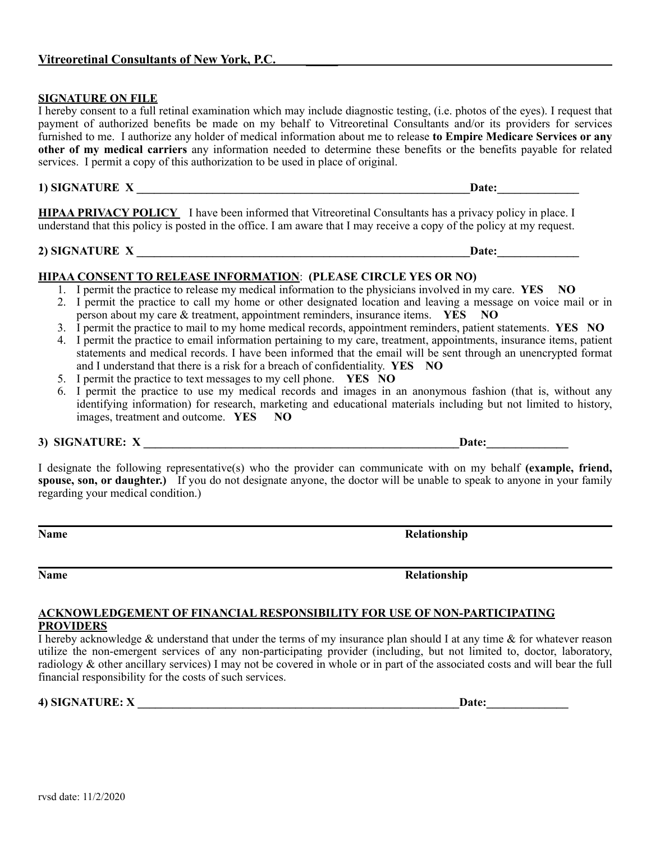#### **SIGNATURE ON FILE**

I hereby consent to a full retinal examination which may include diagnostic testing, (i.e. photos of the eyes). I request that payment of authorized benefits be made on my behalf to Vitreoretinal Consultants and/or its providers for services furnished to me. I authorize any holder of medical information about me to release **to Empire Medicare Services or any other of my medical carriers** any information needed to determine these benefits or the benefits payable for related services. I permit a copy of this authorization to be used in place of original.

#### **1) SIGNATURE X** Date:

**HIPAA PRIVACY POLICY** I have been informed that Vitreoretinal Consultants has a privacy policy in place. I understand that this policy is posted in the office. I am aware that I may receive a copy of the policy at my request.

**2) SIGNATURE X \_\_\_\_\_\_\_\_\_\_\_\_\_\_\_\_\_\_\_\_\_\_\_\_\_\_\_\_\_\_\_\_\_\_\_\_\_\_\_\_\_\_\_\_\_\_\_\_\_\_\_\_\_\_\_\_\_Date:\_\_\_\_\_\_\_\_\_\_\_\_\_\_**

#### **HIPAA CONSENT TO RELEASE INFORMATION**: **(PLEASE CIRCLE YES OR NO)**

- 1. I permit the practice to release my medical information to the physicians involved in my care. **YES NO** 2. I permit the practice to call my home or other designated location and leaving a message on voice mail or in
- person about my care & treatment, appointment reminders, insurance items. **YES NO**
- 3. I permit the practice to mail to my home medical records, appointment reminders, patient statements. **YES NO**
- 4. I permit the practice to email information pertaining to my care, treatment, appointments, insurance items, patient statements and medical records. I have been informed that the email will be sent through an unencrypted format and I understand that there is a risk for a breach of confidentiality. **YES NO**
- 5. I permit the practice to text messages to my cell phone. **YES NO**
- 6. I permit the practice to use my medical records and images in an anonymous fashion (that is, without any identifying information) for research, marketing and educational materials including but not limited to history, images, treatment and outcome. **YES NO**

# **3) SIGNATURE: X \_\_\_\_\_\_\_\_\_\_\_\_\_\_\_\_\_\_\_\_\_\_\_\_\_\_\_\_\_\_\_\_\_\_\_\_\_\_\_\_\_\_\_\_\_\_\_\_\_\_\_\_\_\_Date:\_\_\_\_\_\_\_\_\_\_\_\_\_\_**

I designate the following representative(s) who the provider can communicate with on my behalf **(example, friend, spouse, son, or daughter.)** If you do not designate anyone, the doctor will be unable to speak to anyone in your family regarding your medical condition.)

**Name** Relationship

**Name** Relationship

**ACKNOWLEDGEMENT OF FINANCIAL RESPONSIBILITY FOR USE OF NON-PARTICIPATING** 

# **PROVIDERS**

I hereby acknowledge & understand that under the terms of my insurance plan should I at any time & for whatever reason utilize the non-emergent services of any non-participating provider (including, but not limited to, doctor, laboratory, radiology & other ancillary services) I may not be covered in whole or in part of the associated costs and will bear the full financial responsibility for the costs of such services.

**4) SIGNATURE: X \_\_\_\_\_\_\_\_\_\_\_\_\_\_\_\_\_\_\_\_\_\_\_\_\_\_\_\_\_\_\_\_\_\_\_\_\_\_\_\_\_\_\_\_\_\_\_\_\_\_\_\_\_\_\_Date:\_\_\_\_\_\_\_\_\_\_\_\_\_\_**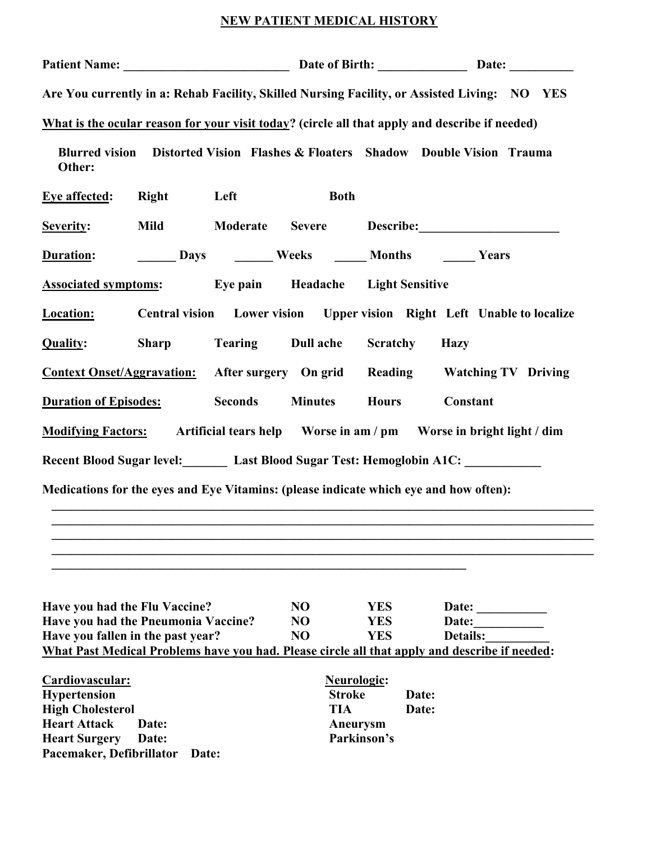# **NEW PATIENT MEDICAL HISTORY**

| Are You currently in a: Rehab Facility, Skilled Nursing Facility, or Assisted Living: NO YES   |                                                                        |                |                |                                   |                    |       |          |  |  |
|------------------------------------------------------------------------------------------------|------------------------------------------------------------------------|----------------|----------------|-----------------------------------|--------------------|-------|----------|--|--|
| What is the ocular reason for your visit today? (circle all that apply and describe if needed) |                                                                        |                |                |                                   |                    |       |          |  |  |
| Blurred vision Distorted Vision Flashes & Floaters Shadow Double Vision Trauma<br>Other:       |                                                                        |                |                |                                   |                    |       |          |  |  |
| <b>Eye affected:</b>                                                                           | Right                                                                  | Left           |                | <b>Both</b>                       |                    |       |          |  |  |
| <b>Severity:</b>                                                                               | Mild Moderate Severe Describe: Mild                                    |                |                |                                   |                    |       |          |  |  |
| Duration:                                                                                      | Days Weeks Months Years                                                |                |                |                                   |                    |       |          |  |  |
| <b>Associated symptoms:</b>                                                                    |                                                                        |                |                | Eye pain Headache Light Sensitive |                    |       |          |  |  |
| <b>Location:</b>                                                                               | Central vision Lower vision Upper vision Right Left Unable to localize |                |                |                                   |                    |       |          |  |  |
| <b>Quality:</b>                                                                                | Sharp Tearing Dull ache Scratchy Hazy                                  |                |                |                                   |                    |       |          |  |  |
| <b>Context Onset/Aggravation:</b> After surgery On grid Reading Watching TV Driving            |                                                                        |                |                |                                   |                    |       |          |  |  |
| <b>Duration of Episodes:</b>                                                                   |                                                                        | <b>Seconds</b> |                | <b>Minutes</b>                    | <b>Hours</b>       |       | Constant |  |  |
| Modifying Factors: Artificial tears help Worse in am / pm Worse in bright light / dim          |                                                                        |                |                |                                   |                    |       |          |  |  |
| Recent Blood Sugar level: Last Blood Sugar Test: Hemoglobin A1C: _________                     |                                                                        |                |                |                                   |                    |       |          |  |  |
| Medications for the eyes and Eye Vitamins: (please indicate which eye and how often):          |                                                                        |                |                |                                   |                    |       |          |  |  |
|                                                                                                |                                                                        |                |                |                                   |                    |       |          |  |  |
|                                                                                                |                                                                        |                |                |                                   |                    |       |          |  |  |
|                                                                                                |                                                                        |                |                |                                   |                    |       |          |  |  |
| Have you had the Flu Vaccine?                                                                  |                                                                        |                | N <sub>O</sub> |                                   | <b>YES</b>         |       | Date:    |  |  |
| Have you had the Pneumonia Vaccine?                                                            |                                                                        |                | N <sub>O</sub> |                                   | <b>YES</b>         |       | Date:    |  |  |
| Have you fallen in the past year?                                                              |                                                                        |                | N <sub>O</sub> |                                   | <b>YES</b>         |       | Details: |  |  |
| What Past Medical Problems have you had. Please circle all that apply and describe if needed:  |                                                                        |                |                |                                   |                    |       |          |  |  |
| Cardiovascular:                                                                                |                                                                        |                |                |                                   | <b>Neurologic:</b> |       |          |  |  |
| Hypertension                                                                                   |                                                                        |                |                | <b>Stroke</b>                     |                    | Date: |          |  |  |
| <b>High Cholesterol</b>                                                                        |                                                                        |                |                | <b>TIA</b>                        |                    | Date: |          |  |  |
| <b>Heart Attack</b>                                                                            | Date:                                                                  |                |                |                                   | Aneurysm           |       |          |  |  |
| <b>Heart Surgery</b><br>Date:                                                                  |                                                                        |                |                |                                   | Parkinson's        |       |          |  |  |
| Pacemaker, Defibrillator                                                                       | Date:                                                                  |                |                |                                   |                    |       |          |  |  |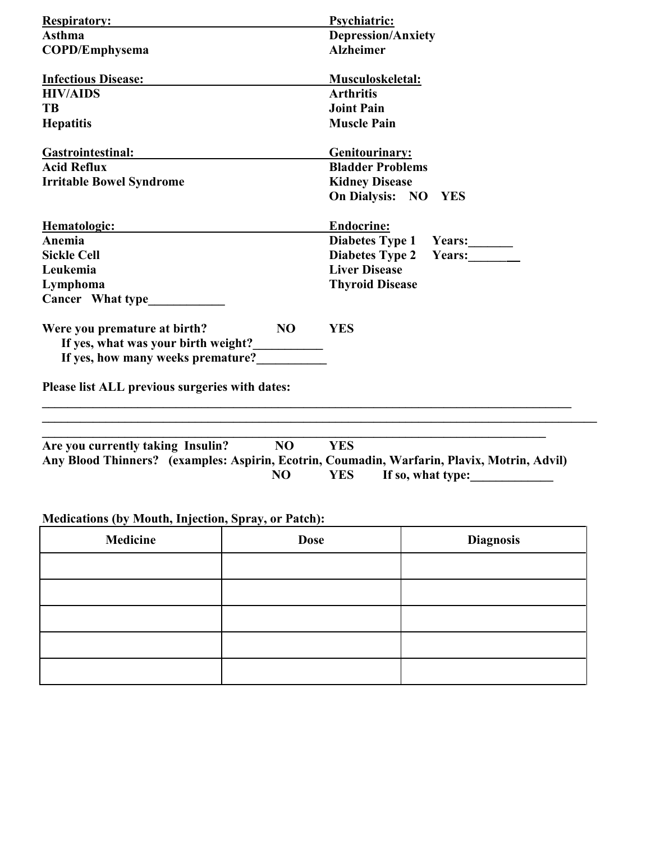| <b>Respiratory:</b>                                                                                                              |                      | Psychiatric:                     |                   |  |  |
|----------------------------------------------------------------------------------------------------------------------------------|----------------------|----------------------------------|-------------------|--|--|
| <b>Asthma</b>                                                                                                                    |                      | <b>Depression/Anxiety</b>        |                   |  |  |
| <b>COPD/Emphysema</b>                                                                                                            |                      | <b>Alzheimer</b>                 |                   |  |  |
| <b>Infectious Disease:</b>                                                                                                       |                      | Musculoskeletal:                 |                   |  |  |
| <b>HIV/AIDS</b>                                                                                                                  |                      | <b>Arthritis</b>                 |                   |  |  |
| TB                                                                                                                               |                      | <b>Joint Pain</b>                |                   |  |  |
| <b>Hepatitis</b>                                                                                                                 |                      | <b>Muscle Pain</b>               |                   |  |  |
| Gastrointestinal:                                                                                                                |                      | Genitourinary:                   |                   |  |  |
| <b>Acid Reflux</b>                                                                                                               |                      | <b>Bladder Problems</b>          |                   |  |  |
| <b>Irritable Bowel Syndrome</b>                                                                                                  |                      | <b>Kidney Disease</b>            |                   |  |  |
|                                                                                                                                  |                      | <b>On Dialysis: NO</b>           | <b>YES</b>        |  |  |
| Hematologic:                                                                                                                     |                      | <b>Endocrine:</b>                |                   |  |  |
| Anemia                                                                                                                           |                      | <b>Diabetes Type 1</b><br>Years: |                   |  |  |
| <b>Sickle Cell</b>                                                                                                               |                      | <b>Diabetes Type 2</b><br>Years: |                   |  |  |
| Leukemia                                                                                                                         |                      | <b>Liver Disease</b>             |                   |  |  |
| Lymphoma                                                                                                                         |                      | <b>Thyroid Disease</b>           |                   |  |  |
| <b>Cancer</b> What type                                                                                                          |                      |                                  |                   |  |  |
| Were you premature at birth?<br>If yes, what was your birth weight?<br>If yes, how many weeks premature?                         | N <sub>O</sub>       | <b>YES</b>                       |                   |  |  |
| Please list ALL previous surgeries with dates:                                                                                   |                      |                                  |                   |  |  |
| Are you currently taking Insulin?<br>Any Blood Thinners? (examples: Aspirin, Ecotrin, Coumadin, Warfarin, Plavix, Motrin, Advil) | NO<br>N <sub>O</sub> | <b>YES</b><br><b>YES</b>         | If so, what type: |  |  |
| <b>Medications (by Mouth, Injection, Spray, or Patch):</b>                                                                       |                      |                                  |                   |  |  |
| <b>Medicine</b>                                                                                                                  | <b>Dose</b>          |                                  | <b>Diagnosis</b>  |  |  |
|                                                                                                                                  |                      |                                  |                   |  |  |

| <b>MULLER</b> | DV <sub>3</sub> V | ріадіомія |
|---------------|-------------------|-----------|
|               |                   |           |
|               |                   |           |
|               |                   |           |
|               |                   |           |
|               |                   |           |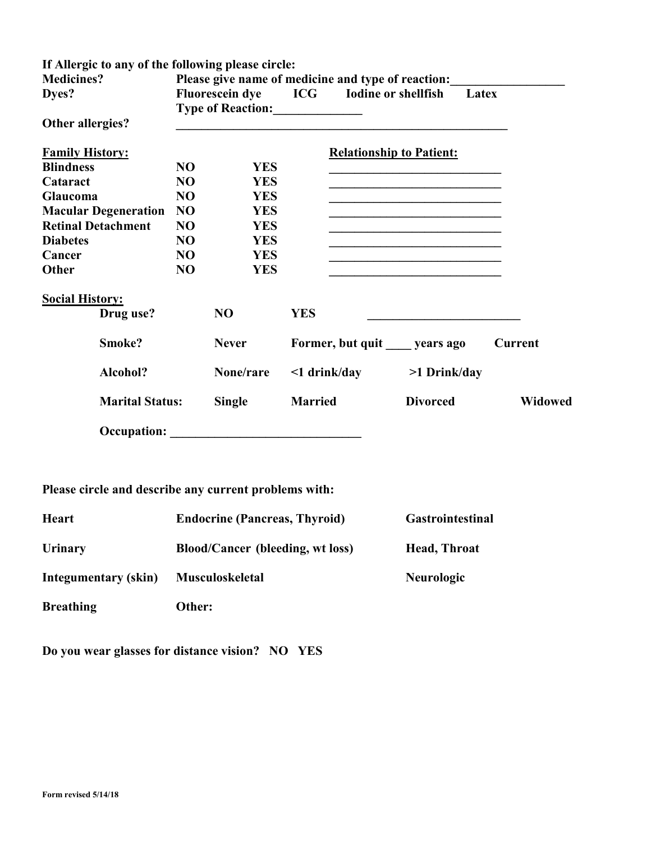|                        |                                         |                | If Allergic to any of the following please circle: |                                |                                                    |                |  |  |
|------------------------|-----------------------------------------|----------------|----------------------------------------------------|--------------------------------|----------------------------------------------------|----------------|--|--|
| <b>Medicines?</b>      |                                         |                |                                                    |                                | Please give name of medicine and type of reaction: |                |  |  |
| Dyes?                  |                                         |                | <b>Fluorescein dye</b><br><b>Type of Reaction:</b> | <b>ICG</b> Iodine or shellfish | Latex                                              |                |  |  |
| Other allergies?       |                                         |                |                                                    |                                |                                                    |                |  |  |
| <b>Family History:</b> |                                         |                |                                                    |                                | <b>Relationship to Patient:</b>                    |                |  |  |
| <b>Blindness</b>       |                                         | N <sub>O</sub> | <b>YES</b>                                         |                                |                                                    |                |  |  |
| Cataract               |                                         | NO             | <b>YES</b>                                         |                                |                                                    |                |  |  |
| Glaucoma               |                                         | N <sub>O</sub> | <b>YES</b>                                         |                                |                                                    |                |  |  |
|                        | <b>Macular Degeneration</b>             | NO             | <b>YES</b>                                         |                                |                                                    |                |  |  |
|                        | <b>Retinal Detachment</b>               | N <sub>O</sub> | <b>YES</b>                                         |                                |                                                    |                |  |  |
| <b>Diabetes</b>        |                                         | N <sub>O</sub> | <b>YES</b>                                         |                                |                                                    |                |  |  |
| Cancer                 |                                         | N <sub>O</sub> | <b>YES</b>                                         |                                |                                                    |                |  |  |
| Other                  |                                         | N <sub>O</sub> | <b>YES</b>                                         |                                |                                                    |                |  |  |
| <b>Social History:</b> |                                         |                |                                                    |                                |                                                    |                |  |  |
|                        | Drug use?                               |                | N <sub>O</sub>                                     | <b>YES</b>                     |                                                    |                |  |  |
|                        | Smoke?                                  |                | <b>Never</b>                                       | Former, but quit years ago     |                                                    | <b>Current</b> |  |  |
|                        | Alcohol?                                |                | None/rare                                          | <1 drink/day                   | $>1$ Drink/day                                     |                |  |  |
|                        | <b>Marital Status:</b><br><b>Single</b> |                | <b>Married</b>                                     | <b>Divorced</b>                | <b>Widowed</b>                                     |                |  |  |
|                        | Occupation:                             |                |                                                    |                                |                                                    |                |  |  |

# **Please circle and describe any current problems with:**

| Heart                | <b>Endocrine (Pancreas, Thyroid)</b>    | Gastrointestinal  |
|----------------------|-----------------------------------------|-------------------|
| Urinary              | <b>Blood/Cancer (bleeding, wt loss)</b> | Head, Throat      |
| Integumentary (skin) | <b>Musculoskeletal</b>                  | <b>Neurologic</b> |
| <b>Breathing</b>     | Other:                                  |                   |

**Do you wear glasses for distance vision? NO YES**